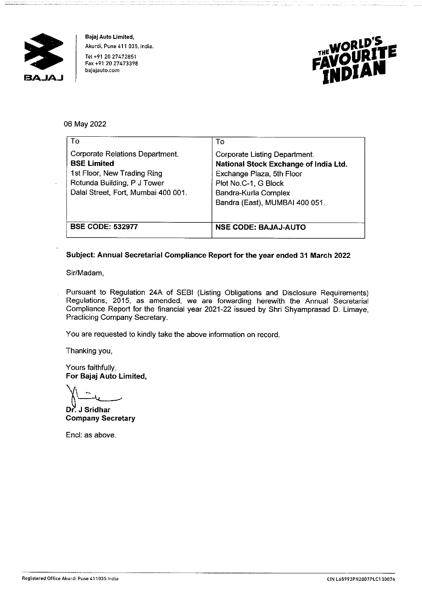

**Bajaj Auto Limited, Akurdi, Pune 411 035. lndia.**  Tel +91 20 27472851 **Fax +91 20 27473398 bajajauto.com** 



# 06 May 2022

| To                                  | To                                    |
|-------------------------------------|---------------------------------------|
| Corporate Relations Department.     | Corporate Listing Department.         |
| <b>BSE Limited</b>                  | National Stock Exchange of India Ltd. |
| 1st Floor, New Trading Ring         | Exchange Plaza, 5th Floor             |
| Rotunda Building, P J Tower         | Plot No.C-1, G Block                  |
| Dalal Street, Fort, Mumbai 400 001. | Bandra-Kurla Complex                  |
|                                     | Bandra (East), MUMBAI 400 051.        |
| <b>BSE CODE: 532977</b>             | <b>NSE CODE: BAJAJ-AUTO</b>           |

## **Subject: Annual Secretarial Compliance Report for the year ended 31 March 2022**

Sir/Madam,

Pursuant to Regulation 24A of SEBI (Listing Obligations and Disclosure Requirements) Regulations, 2015, as amended, we are forwarding herewith the Annual Secretarial Compliance Report for the financial year 2021-22 issued by Shri Shyamprasad D. Limaye, Practicing Company Secretary.

You are requested to kindly take the above information on record.

Thanking you,

Yours faithfully, **For Bajaj Auto Limited,** 

**Dr.** J Sridhar **Company** 

**Company Secretary** 

Encl: as above.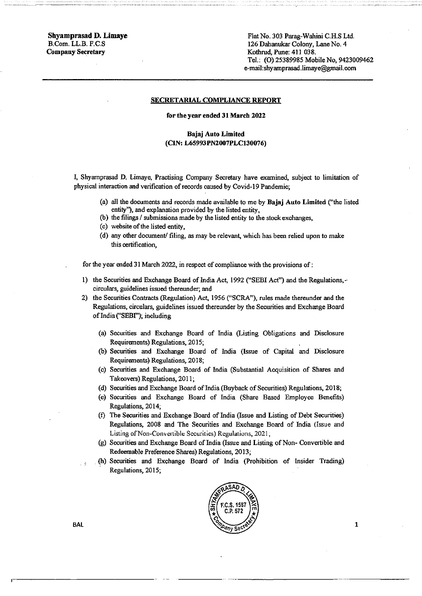**Shyamprasad D. Limaye**  B.Com. LL.B. F.C.S **Company Secretary** 

Flat No. 303 Parag-Wahini C.H.S Ltd. 126 Dahanukar Colony, Lane No. 4 Kothrud, Pune: 411 038. Tel.: (0) 25389985 Mobile No, 9423009462 e-mail:shyarnprasad.limaye@gmail.com

#### **SECRETARIAL COMPLIANCE REPORT**

#### **for the year ended 31 March 2022**

### **Bajaj Auto Limited (CIN: L65993PN2007PLC130076)**

I, Shyarnprasad D. Limaye, Practising Company Secretary have examined, subject to limitation of physical interaction and verification of records caused by Covid-19 Pandemic;

- (a) all the documents and records made available to me by **Bajaj Auto Limited** ("the listed entity''), and explanation provided by the listed entity,
- (b) the filings/ submissions made by the listed entity to the stock exchanges,
- (c) website of the listed entity,
- ( d) any other document/ filing, as may be relevant, which has been relied upon to make **this certification~**

for the year ended 31 March 2022, in respect of compliance with the provisions of:

- I) the Securities and Exchange Board of India Act, 1992 ("SEBI Act") and the Regulations,-· circulars, guidelines issued thereunder; and
- 2) the Securities Contracts (Regulation) Act, 1956 ("SCRA"), rules made thereunder and the Regulations, circulars, guidelines issued thereunder by the Securities and Exchange Board of India ("SEBI"); including
	- (a) Securities and Exchange Board of India (Listing Obligations and Disclosure Requirements) Regulations, 2015;
	- (b) Securities and Exchange Board of India (Issue of Capital and Disclosure Requirements) Regulations, 2018;
	- (c) Securities and Exchange Board of India (Substantial Acquisition of Shares and Takeovers) Regulations, 2011;
	- (d) Securities and Exchange Board of India (Buyback of Securities) Regulations, 2018;
	- (e) Securities and Exchange Board of India (Share Based Employee Benefits) Regulations, 2014;
	- (f) The Securities and Exchange Board of India (Issue and Listing of Debt Securities) Regulations, 2008 and The Securities and Exchange Board of India {Issue and Listing of Non-Convertible Securities) Regulations, 2021,
	- $(g)$  Securities and Exchange Board of India (Issue and Listing of Non- Convertible and Redeemable Preference Shares) Regulations, 2013;
	- . (h) Securities and Exchange Board of India (Prohibition of Insider Trading) Regulations, 2015;



BAL

1